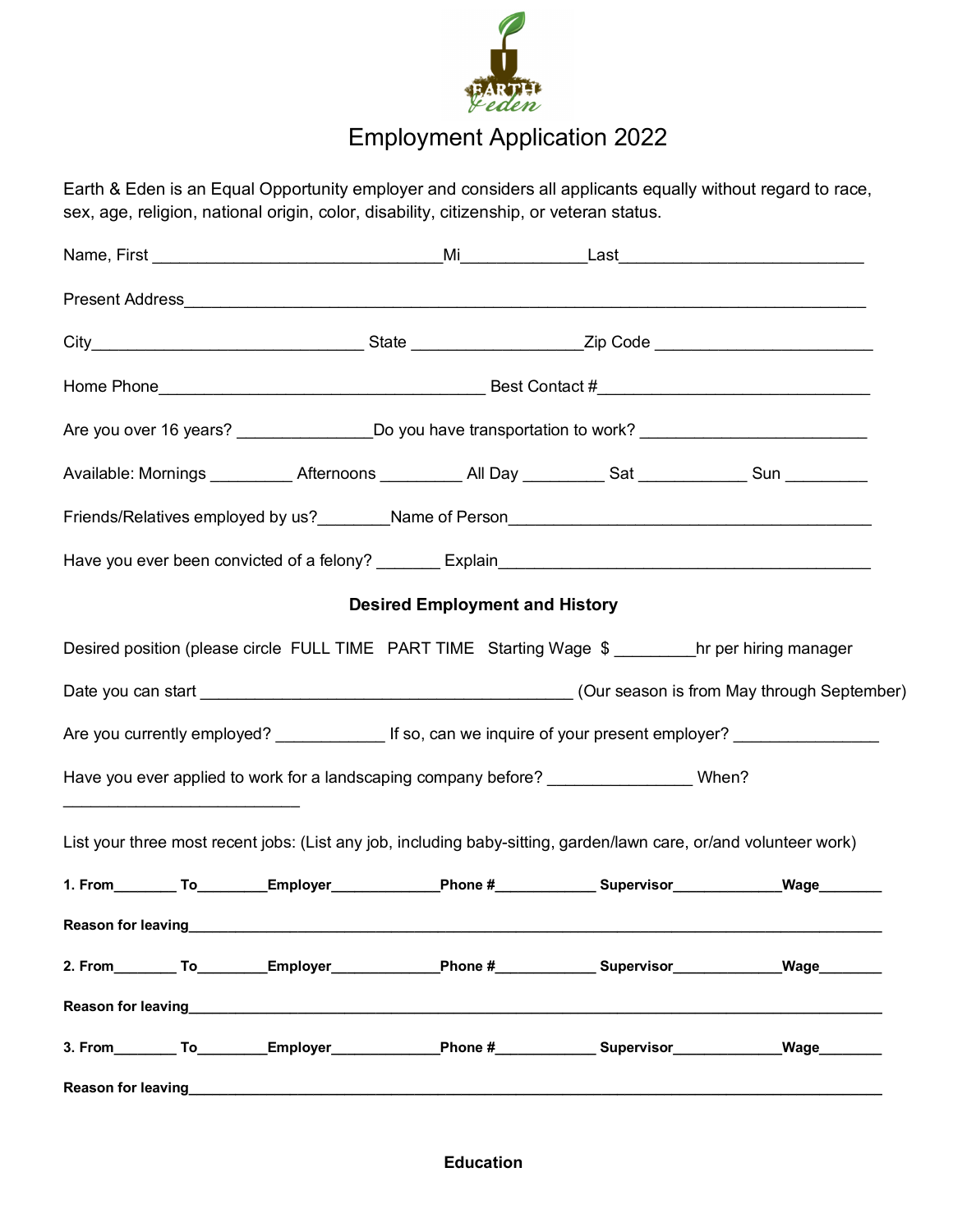

## Employment Application 2022

Earth & Eden is an Equal Opportunity employer and considers all applicants equally without regard to race, sex, age, religion, national origin, color, disability, citizenship, or veteran status.

| Are you over 16 years? _____________________Do you have transportation to work? _____________________________                                                                                                                        |                                       |  |      |  |  |  |  |
|--------------------------------------------------------------------------------------------------------------------------------------------------------------------------------------------------------------------------------------|---------------------------------------|--|------|--|--|--|--|
| Available: Mornings ____________ Afternoons ___________ All Day __________ Sat _____________ Sun ___________                                                                                                                         |                                       |  |      |  |  |  |  |
|                                                                                                                                                                                                                                      |                                       |  |      |  |  |  |  |
|                                                                                                                                                                                                                                      |                                       |  |      |  |  |  |  |
|                                                                                                                                                                                                                                      | <b>Desired Employment and History</b> |  |      |  |  |  |  |
| Desired position (please circle FULL TIME PART TIME Starting Wage \$ ________hr per hiring manager                                                                                                                                   |                                       |  |      |  |  |  |  |
|                                                                                                                                                                                                                                      |                                       |  |      |  |  |  |  |
| Are you currently employed? _________________ If so, can we inquire of your present employer? ________________                                                                                                                       |                                       |  |      |  |  |  |  |
| Have you ever applied to work for a landscaping company before? ________________ When?                                                                                                                                               |                                       |  |      |  |  |  |  |
| List your three most recent jobs: (List any job, including baby-sitting, garden/lawn care, or/and volunteer work)                                                                                                                    |                                       |  |      |  |  |  |  |
| 1. From__________To_________Employer______________Phone #_____________Supervisor______________Wage________                                                                                                                           |                                       |  |      |  |  |  |  |
|                                                                                                                                                                                                                                      |                                       |  |      |  |  |  |  |
| 2. From__________To________Employer______________Phone #_____________Supervisor_____________________                                                                                                                                 |                                       |  | Wage |  |  |  |  |
| Reason for leaving the contract of the contract of the contract of the contract of the contract of the contract of the contract of the contract of the contract of the contract of the contract of the contract of the contrac       |                                       |  |      |  |  |  |  |
| 3. From________ To_________Employer______________Phone #_____________ Supervisor_____________                                                                                                                                        |                                       |  | Wage |  |  |  |  |
| Reason for leaving <b>Exercise Contract Contract Contract Contract Contract Contract Contract Contract Contract Contract Contract Contract Contract Contract Contract Contract Contract Contract Contract Contract Contract Cont</b> |                                       |  |      |  |  |  |  |